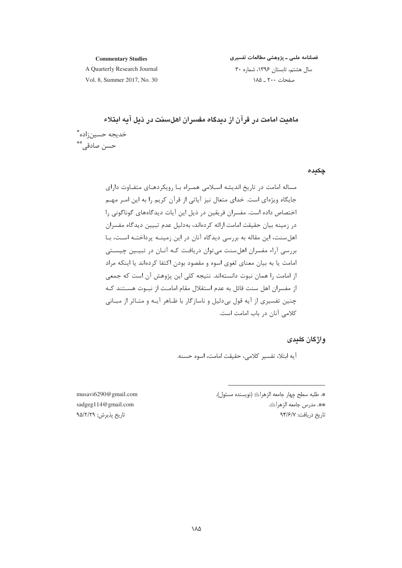#### **Commentary Studies**

فصلنامه علمی ـ پژوهشی مطالعات تفسیری

A Quarterly Research Journal Vol. 8. Summer 2017, No. 30 سال هشتم، تابستان ١٣٩۶، شماره ٣٠ صفحات ۲۰۰ \_ ۱۸۵

ماهیت امامت در قرآن از دیدگاه مفسران اهلسنت در ذیل آیه ایتلاء خديجه حسين;اده ٌ حسن صادقے.\*\*

چکیدہ

مساله امامت در تاریخ اندیشه اسلامی همـراه بـا رویکردهـای متفـاوت دارای جایگاه ویژهای است. خدای متعال نیز آیاتی از قرآن کریم را به این امـر مهـم اختصاص داده است. مفسران فریقین در ذیل این آیات دیدگاههای گوناگونی را در زمینه بیان حقیقت امامت ارائه کردهاند، بهدلیل عدم تبیین دیدگاه مفسران اهل سنت، این مقاله به بررسی دیدگاه آنان در این زمینـه پرداختـه اسـت، بـا بررسی آراء مفسران اهل سنت می توان دریافت کـه آنـان در تبیـین چیسـتی امامت یا به بیان معنای لغوی اسوه و مقصود بودن اکتفا کردهاند یا اینکه مراد از امامت را همان نبوت دانستهاند. نتيجه كلي اين پژوهش آن است كه جمعي از مفسران اهل سنت قائل به عدم استقلال مقام امامت از نبـوت هسـتند كـه چنین تفسیری از آیه قول بی دلیل و ناسازگار با ظـاهر آیـه و متـاثر از مبـانی كلامى آنان در باب امامت است.

واژگان کلیدی

آيه ابتلا، تفسير كلامي، حقيقت امامت، اسوه حسنه.

\*. طلبه سطح چهار جامعه الزهراﷺ (نويسنده مسئول). \*\*. مدرس جامعه الزهراﷺ. تاريخ دريافت: ٩٣/۶/٧

musavi6290@gmail.com sadgeg114@gmail.com تاريخ پذيرش: ٩۵/٢/٢٩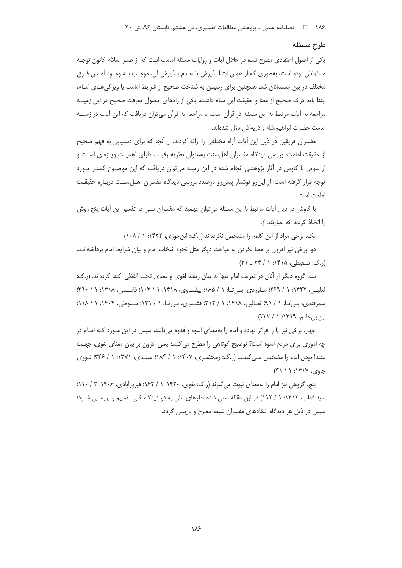۱۸۶ هـ المصلنامه علمي ـ پژوهشي مطالعات تفسيري، س هشتم، تابستان ۹۶، ش ۳۰

## طرح مسئله

یکی از اصول اعتقادی مطرح شده در خلال آیات و روایات مسئله امامت است که از صدر اسلام کانون توجـه مسلمانان بوده است، بهطوري كه از همان ابتدا پذيرش يا عـدم پـذيرش آن، موجـب بـه وجـود آمـدن فـرق مختلف در بین مسلمانان شد. همچنین برای رسیدن به شناخت صحیح از شرایط امامت یا ویژگی هـای امـام، ابتدا باید درک صحیح از معنا و حقیقت این مقام داشت. یکی از راههای حصول معرفت صحیح در این زمینـه مراجعه به آیات مرتبط به این مسئله در قرآن است. با مراجعه به قرآن میتوان دریافت که این آیات در زمینــه امامت حضرت ابراهیم ﷺ و ذریهاش نازل شدهاند.

مفسران فریقین در ذیل این آیات آراء مختلفی را ارائه کردند. از آنجا که برای دستیابی به فهم صحیح از حقیقتِ امامت، بررسی دیدگاه مفسران اهلسنت بهعنوان نظریه رقیب دارای اهمیت ویـژهای اسـت و از سویی با کاوش در آثار پژوهشی انجام شده در این زمینه می توان دریافت که این موضـوع کمتـر مـورد توجه قرار گرفته است؛ از این رو نوشتار پیش رو درصدد بررسی دیدگاه مفسران اهـلسـنت دربـاره حقیقـت امامت است.

با کاوش در ذیل آیات مرتبط با این مسئله میتوان فهمید که مفسران سنی در تفسیر این آیات پنج روش ,ا اتخاذ کردند که عبارتند از:

یک. برخی مراد از این کلمه را مشخص نکردهاند (ر.ک: ابن جوزی، ۱۴۲۲: ۱ / ۱۰۸)

دو. برخی نیز افزون بر معنا نکردن به مباحث دیگر مثل نحوه انتخاب امام و بیان شرایط امام پرداختهانـد.  $(51 - 55)$  (..ک: شنقیطی، ۱۴۱۵: ۱ / ۲۴ \_ ۲۱)

سه. گروه دیگر از آنان در تعریف امام تنها به بیان ریشه لغوی و معنای تحت الفظی اکتفا کردهاند. (ر.ک: تعلبـي، ١۴۲۲: ١ / ٢۶٩؛ مـاوردي، بـيتـا: ١ / ١٨۵؛ بيضـاوي، ١٤١٨: ١ / ١٠٤: قاسـمي، ١۴١٨: ١ / ٣٩٠: سمرقندی، بیتا: ۱ / ۹۱؛ ثعالبی، ۱۴۱۸؛ ۱ / ۱۲۲؛ قشیری، بیتا: ۱ / ۱۲۱؛ سیوطی، ۱۴۰۴: ۱ / ۱۱۸؛ ان اب حاتم، ۱۴۱۹: ۱ / ۲۲۲)

چهار. برخی نیز یا را فراتر نهاده و امام را بهمعنای اسوه و قدوه می دانند، سپس در این مـورد کـه امـام در چه اموري براي مردم اسوه است؟ توضيح كوتاهي را مطرح مي كنند؛ يعني افزون بر بيان معناي لغوي، جهـت مقتدا بودن امام را مشخص مـی کننـد. (ر.ک: زمخشـری، ۱۴۰۷: ۱ / ۱۸۴؛ میبـدی، ۱۳۷۱: ۱ / ۳۴۶: نـووی  $(7') /$  :۱۴۱۷ (  $\sqrt{2}$ 

پنج. گروهی نیز امام را بهمعنای نبوت میگیرند (ر.ک: بغوی، ۱۴۲۰: ۱ / ۱۶۲؛ فیروزآبادی، ۱۴۰۶: ۲ / ۱۱۰؛ سید قطب، ۱۴۱۲: ۱ / ۱۱۲) در این مقاله سعی شده نظرهای آنان به دو دیدگاه کلی تقسیم و بررسـی شـود؛ سپس در ذیل هر دیدگاه انتقادهای مفسران شیعه مطرح و بازبینی گردد.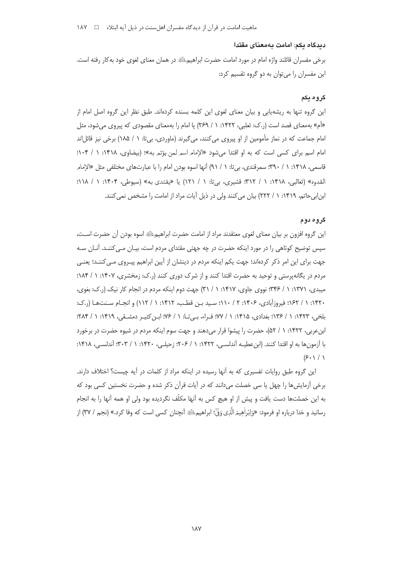ماهیت امامت در قرآن از دیدگاه مفسران اهل سنت در ذیل آیه ابتلاء → ۱۸۷

## ديدگاه يكم: امامت بهمعناى مقتدا

برخی مفسران قائلند واژه امام در مورد امامت حضرت ابراهیمﷺ در همان معنای لغوی خود به کار رفته است. این مفسران را میتوان به دو گروه تقسیم کرد:

#### گروه بکم

این گروه تنها به ریشهپایی و بیان معنای لغوی این کلمه بسنده کردهاند. طبق نظر این گروه اصل امام از «أم» بهمعنای قصد است (ر.ک: ثعلبی، ۱۴۲۲: ۱ / ۲۶۹) یا امام را بهمعنای مقصودی که پیروی می شود، مثل امام جماعت که در نماز مأمومین از او پیروی می کنند، می گیرند (ماوردی، بیتا: ۱ / ۱۸۵) برخی نیز قائلاند امام اسم برای کسی است که به او اقتدا می شود «الإمام اسم لمن یؤتم به»؛ (بیضاوی، ۱۴۱۸: ۱ / ۱۰۴: قاسمي، ١۴١٨: ١ / ٣٩٠: سمرقندي، بي تا: ١ / ٩١) آنها اسوه بودن امام را با عبارتهاي مختلفي مثل «الإمامر القدوه» (ثعالبي، ١۴١٨: ١ / ٣١٢: قشيري، بي تا: ١ / ١٢١) يا «يقتدي به» (سيوطي، ١٤٠۴: ١ / ١١٨): ابن ابی حاتم، ۱۴۱۹: ۱ / ۲۲۲) بیان می کنند ولی در ذیل آیات مراد از امامت را مشخص نمی کنند.

## گروه دوم

این گروه افزون بر بیان معنای لغوی معتقدند مراد از امامت حضرت ابراهیمﷺ اسوه بودن آن حضرت اسـت، سپس توضیح کوتاهی را در مورد اینکه حضرت در چه جهتی مقتدای مردم است، بیـان مـی کننـد. آنـان سـه جهت برای این امر ذکر کردهاند؛ جهت یکم اینکه مردم در دینشان از آیین ابراهیم پیـروی مـی کننـد؛ یعنـی مردم در یگانهپرستی و توحید به حضرت اقتدا کنند و از شرک دوری کنند (ر.ک: زمخشری، ۱۴۰۷: ۱ / ۱۸۴: میبدی، ۱۳۷۱: ۱ / ۳۴۶: نووی جاوی، ۱۴۱۷: ۱ / ۳۱) جهت دوم اینکه مردم در انجام کار نیک (ر.ک: بغوی، ۱۴۲۰: ۱ / ۱۶۲؛ فیروزآبادی، ۱۴۰۶: ۲ / ۱۱۰؛ سید بن قطب، ۱۴۱۲: ۱ / ۱۱۲) و انجـام سـنتهـا (ر.ک: بلخي، ١۴٢٣: ١ / ١٣۶: بغدادي، ١٣١۵: ١ / ٧٧: فـراء، بـي تـا: ١ / ٧۶: ابـن كثيـر دمشـقي، ١۴١٩: ١ / ٢٨۴: ابن عربی، ۱۴۲۲: ۱ / ۵۲)، حضرت را پیشوا قرار می دهند و جهت سوم اینکه مردم در شیوه حضرت در برخورد با آزمون ها به او اقتدا کنند. (این عطیـه آندلسـی، ۱۴۲۲: ۱ / ۲۰۶؛ زحیلـی، ۱۴۲۰: ۱ / ۳۰۳؛ آندلسـی، ۱۴۱۸:  $(\mathcal{F} \cdot \mathcal{F})$ 

این گروه طبق روایات تفسیری که به آنها رسیده در اینکه مراد از کلمات در آیه چیست؟ اختلاف دارند. برخی آزمایش ها را چهل یا سی خصلت میدانند که در آیات قرآن ذکر شده و حضرت نخستین کسی بود که به این خصلتها دست یافت و پیش از او هیچ کس به آنها مکلّف نگردیده بود ولی او همه آنها را به انجام رسانيد و خدا درباره او فرمود: «وَاِبْراْهِيمَ الَّذِي وَوِّ)ْ؛ ابراهيمﷺ آنچنان كسي است كه وفا كرد.» (نجم / ٣٧) از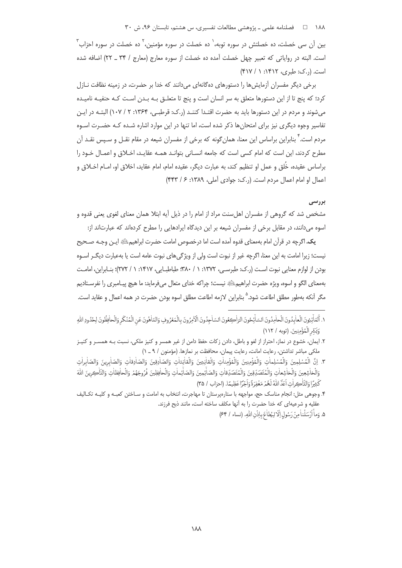۱۸۸ = هلنامه علمی ـ یژوهشی مطالعات تفسیری، س هشتم، تابستان ۹۶، ش ۳۰

بین آن سی خصلت، ده خصلتش در سوره توبه، ٰ ده خصلت در سوره مؤمنین، ٗ ده خصلت در سوره احزاب ؓ است. البته در رواياتي كه تعبير چهل خصلت آمده ده خصلت از سوره معارج (معارج / ٣۴ \_ ٢٢) اضافه شده است. (..ک: طبری، ۱۴۱۲: ۱ / ۴۱۷)

برخی دیگر مفسران آزمایش ها را دستورهای دهگانهای می دانند که خدا بر حضرت، در زمینه نظافت نـازل کرد؛ که پنج تا از این دستورها متعلق به سر انسان است و پنج تا متعلـق بـه بـدن اسـت کـه حنفیـه نامیـده میشوند و مردم در این دستورها باید به حضرت اقتـدا کننـد (ر.ک: قرطبـی، ۱۳۶۴: ۲ / ۱۰۷) البتـه در ایـن تفاسیر وجوه دیگری نیز برای امتحانها ذکر شده است، اما تنها در این موارد اشاره شـده کـه حضـرت اسـوه مردم است. ٔ بنابراین براساس این معنا، همان گونه که برخی از مفسران شیعه در مقام نقــل و ســپس نقــد آن مطرح کردند، این است که امام کسی است که جامعه انسـانی بتوانـد همـه عقایـد، اخـلاق و اعمـال خـود را براساس عقيده، خُلق و عمل او تنظيم كند، به عبارت ديگر، عقيده امام، امام عقايد، اخلاق او، امــام اخــلاق و اعمال او امام اعمال مردم است. (ر.ک: جوادی آملی، ۱۳۸۹: ۶/ ۴۴۳)

## بررسي

مشخص شد که گروهی از مفسران اهل سنت مراد از امام را در ذیل آیه ابتلا همان معنای لغوی یعنی قدوه و اسوه میدانند، در مقابل برخی از مفسران شیعه بر این دیدگاه ایرادهایی را مطرح کردهاند که عبارتاند از:

يک. اگرچه در قرآن امام بهمعناي قدوه آمده است اما درخصوص امامت حضرت ابراهيمﷺ ايـن وجـه صـحيح نیست؛ زیرا امامت به این معنا، اگرچه غیر از نبوت است ولی از ویژگی های نبوت عامه است یا بهعبارت دیگـر اسـوه بودن از لوازم معنایی نبوت است (ر.ک: طبرسے، ۱۳۷۲: ۱ / ۳۸۰؛ طباطبـایی، ۱۴۱۷: ۱ / ۲۷۲)؛ بنـابراین، امامـت بهمعناي الگو و اسوه، ويژه حضرت ابراهيم؛ ﷺ نيست؛ چراكه خداي متعال مي فرمايد: ما هيچ پيـامبري را نفرسـتاديم مگر آنکه بهطور مطلق اطاعت شود.<sup>۵</sup> بنابراین لازمه اطاعت مطلق اسوه بودن حضرت در همه اعمال و عقاید است.

١. أَلْعَاْئِدِنَ الْعاٰبِدُونَ الْحاٰمِدُونَ السّاْئِحُونَ الرّاٰكِعُونَ السّاجِدُونَ الْأَمِرُونَ بالْمَعْرُوفِ وَالتّاهُونَ عَنِ الْمُنْكَرِ وَالْحافِظُونَ لِحُدُودِ اللّهِ وَبَشِّرِ الْمُؤْمِنِينَ. (توبه / ١١٢)

۲. ایمان، خشوع در نماز، احتراز از لغو و باطل، دادن زكات حفظ دامن از غیر همسر و كنیز ملكی، نسبت بـه همسـر و كنیـز ملكي مباشر تداشتن، رعايت امانت، رعايت پيمان، محافظت بر نمازها. (مؤمنون / ٩ ـ ١)

٣. اِنَّ الْمُسْلِمِينَ وَالْمُسْلِماٰتِ وَالْمُؤْمِنِينَ وَالْمُؤْمِناْتِ وَالْقاٰنِتِينَ وَالْقاٰنِتاٰتِ وَالصّاٰذِقافِ وَالصّاٰبِرِينَ وَالصّاٰبِرِينَ وَالصّاٰبِرِينَ وَالصّاٰبِرِينَ وَالْخاشِعِينَ وَالْخاشِعاتِ وَالْمُتَصَدِّقِينَ وَالْمُتَصَدِّقاتِ وَالصّاٰئِمِينَ وَالصّاٰئِماتِ وَالْحافِظِينَ فُرُوجَهُمْ وَالْحافِظاتِ وَالنَّاكِرِينَ اللَّهَ كَثِيرًا وَالذَّلْحِ إِنَّ اَعَدَّ اللَّهُ لَهُمْ مَغْفِرَةً وَاَحْرًا عَظِيمًا. (إحزاب / ٣٥)

۴. وجوهی مثل: انجام مناسک حج، مواجهه با ستارهپرستان تا مهاجرت، انتخاب به امامت و سـاختن کعبـه و کليـه تکـاليف عقليه و شرعيهاي كه خدا حضرت را به آنها مكلف ساخته است، مانند ذبح فرزند.

۵. وَماْ أَرْسَلْناْ مِنْ رَسُولِ إِلَّا لِيُطَاْعَ بِإِذْنِ اللَّهِ. (نساء / ۶۴)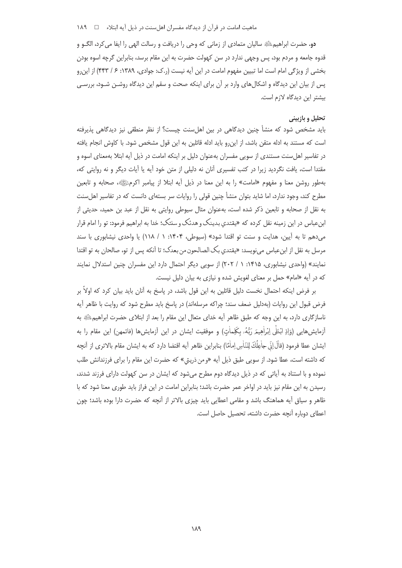دو. حضرت ابراهیمﷺ سالیان متمادی از زمانی که وحی را دریافت و رسالت الهی را ایفا می کرد، الگــو و قدوه جامعه و مردم بود، پس وجهی ندارد در سن کهولت حضرت به این مقام برسد، بنابراین گرچه اسوه بودن بخشی از ویژگی امام است اما تبیین مفهوم امامت در این آیه نیست (.ک: جوادی، ۱۳۸۹: ۶/ ۴۴۳) از این و پس از بیان این دیدگاه و اشکالهای وارد بر آن برای اینکه صحت و سقم این دیدگاه روشـن شـود، بررسـی بیشتر این دیدگاه لازم است.

# تحلیل و بازبینی

باید مشخص شود که منشأ چنین دیدگاهی در بین اهلسنت چیست؟ از نظر منطقی نیز دیدگاهی پذیرفته است که مستند به ادله متقن باشد، از این رو باید ادله قائلین به این قول مشخص شود. با کاوش انجام یافته در تفاسیر اهل سنت مستندی از سویی مفسران بهعنوان دلیل بر اینکه امامت در ذیل آیه ابتلا بهمعنای اسوه و مقتدا است، یافت نگردید زیرا در کتب تفسیری آنان نه دلیلی از متن خود آیه یا آیات دیگر و نه روایتی که، بهطور روشن معنا و مفهوم «امامت» را به این معنا در ذیل آیه ابتلا از پیامبر اکرمﷺ، صحابه و تابعین مطرح کند، وجود ندارد، اما شاید بتوان منشأ چنین قولی را روایات سر بستهای دانست که در تفاسیر اهل سنت به نقل از صحابه و تابعین ذکر شده است، بهعنوان مثال سیوطی روایتی به نقل از عبد بن حمید، حدیثی از ابنءباس در این زمینه نقل کرده که «یقتدی بدینک و هدئک و سنتک؛ خدا به ابراهیم فرمود: تو را امام قرار می دهم تا به آیین، هدایت و سنت تو اقتدا شود» (سیوطی، ۱۴۰۴: ۱ / ۱۱۸) یا واحدی نیشابوری با سند مرسل به نقل از ابنءباس می نویسد: «یقتدی بک الصالحون من بعدک؛ تا آنکه پس از تو، صالحان به تو اقتدا نمایند» (واحدی نیشابوری، ۱۴۱۵: ۱ / ۲۰۲) از سویی دیگر احتمال دارد این مفسران چنین استدلال نمایند که در آیه «امام» حمل بر معنای لغویش شده و نیازی به بیان دلیل نیست.

بر فرض اینکه احتمال نخست دلیل قائلین به این قول باشد، در پاسخ به آنان باید بیان کرد که اولاً بر فرض قبول این روایات (بهدلیل ضعف سند؛ چراکه مرسلهاند) در پاسخ باید مطرح شود که روایت با ظاهر آیه ناسازگاری دارد، به این وجه که طبق ظاهر آیه خدای متعال این مقام را بعد از ابتلای حضرت ابراهیم ﷺ به أزمايش@ايي (وَاذِ ابْتَلَى اِبْراٰهِيمَر رَبُّهُۥ بِكَلِماٰتٍ) و موفقيت ايشان در اين أزمايش@ا (فاتمهن) اين مقام را به ايشان عطا فرمود (قالَ[نّ جاٰعِلُكَ لِلنّاٰسِ اِماٰمًا) بنابراين ظاهر آيه اقتضا دارد كه به ايشان مقام بالاترى از آنچه كه داشته است، عطا شود. از سويي طبق ذيل آيه «و من ذريتي» كه حضرت اين مقام را براي فرزندانش طلب نموده و با استناد به آیاتی که در ذیل دیدگاه دوم مطرح می شود که ایشان در سن کهولت دارای فرزند شدند، رسیدن به این مقام نیز باید در اواخر عمر حضرت باشد؛ بنابراین امامت در این فراز باید طوری معنا شود که با ظاهر و سیاق أیه هماهنگ باشد و مقامی اعطایی باید چیزی بالاتر از أنچه که حضرت دارا بوده باشد؛ چون اعطای دوباره آنچه حضرت داشته، تحصیل حاصل است.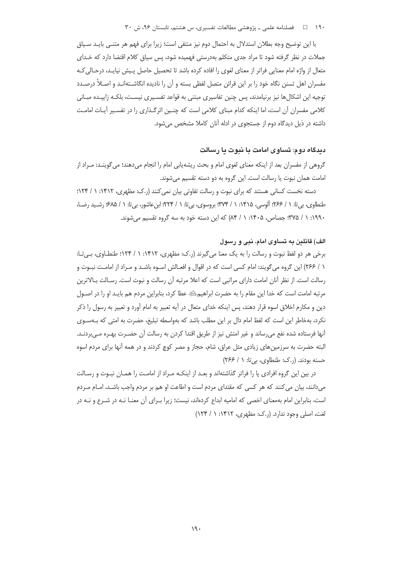۱۹۰ فصلنامه علمی ـ پژوهشی مطالعات تفسیری، س هشتم، تابستان ۹۶، ش ۳۰

با این توضیح وجه بطلان استدلال به احتمال دوم نیز منتفی است؛ زیرا برای فهم هر متنبی بایـد سـیاق جملات در نظر گرفته شود تا مراد جدی متکلم بهدرستی فهمیده شود، پس سیاق کلام اقتضا دارد که خـدای متعال از واژه امام معنایی فراتر از معنای لغوی را افاده کرده باشد تا تحصیل حاصل پـیش نیایـد، درحـالی کـه مفسران اهل تسنن نگاه خود را بر این قرائن متصل لفظی بسته و آن را نادیده انگاشـتهانـد و اصـلاً درصـدد توجیه این اشکالها نیز برنیامدند، پس چنین تفاسیری مبتنی به قواعد تفسـیری نیسـت، بلکـه زاییـده مبـانی كلامي مفسران أن است، اما اينكه كدام مبناي كلامي است كه چنـين اثرگـذاري را در تفسـير أيـات امامـت داشته در ذیل دیدگاه دوم از جستجوی در ادله آنان کاملا مشخص می شود.

### دیدگاه دوم: تساوی امامت با نبوت یا رسالت

گروهی از مفسران بعد از اینکه معنای لغوی امام و بحث ریشهیابی امام را انجام میدهند؛ میگوینــد: مــراد از امامت همان نبوت یا رسالت است. این گروه به دو دسته تقسیم میشوند.

دسته نخست کسانی هستند که برای نبوت و رسالت تفاوتی بیان نمی کنند (ر.ک: مظهری، ۱۴۱۲: ۱ / ۱۲۴: طنطاوي، بي تا: ١ / ٢۶۶؛ آلوسي، ١۴١۵: ١ / ٣٧۴؛ بروسوي، بي تا: ١ / ٢٢۴؛ ابن عاشور، بي تا: ١ / ۶۸۵؛ رشـيد رضـا، ۱۹۹۰: ۱ / ۳۷۵؛ جصاص، ۱۴۰۵: ۱ / ۸۴) که این دسته خود به سه گروه تقسیم میشوند.

### الف) قائلین به تساوی امام، نبی و رسول

برخی هر دو لفظ نبوت و رسالت را به یک معنا میگیرند (ر.ک: مظهری، ۱۴۱۲: ۱ / ۱۲۴؛ طنطـاوی، بـیتـا: ١ / ٢۶۶) اين گروه مي گويند: امام كسي است كه در اقوال و افعـالش اسـوه باشـد و مـراد از امامـت نبـوت و رسالت است. از نظر آنان امامت دارای مراتبی است که اعلا مرتبه آن رسالت و نبوت است. رسـالت بـالاترین مرتبه امامت است که خدا این مقام را به حضرت ابراهیمﷺ عطا کرد، بنابراین مردم هم بایـد او را در اصـول دین و مکارم اخلاق اسوه قرار دهند، پس اینکه خدای متعال در آیه تعبیر به امام آورد و تعبیر به رسول را ذکر نکرد، بهخاطر این است که لفظ امام دال بر این مطلب باشد که بهواسطه تبلیغ، حضرت به امتی که بـهسـوی آنها فرستاده شده نفع می رساند و غیر امتش نیز از طریق اقتدا کردن به رسالت آن حضـرت بهـره مـی,بردنـد. البته حضرت به سرزمینهای زیادی مثل عراق، شام، حجاز و مصر کوچ کردند و در همه آنها برای مردم اسوه حسنه بودند. (ر.ک: طنطاوی، بی تا: ١ / ٢۶۶)

در بین این گروه افرادی یا را فراتر گذاشتهاند و بعـد از اینکـه مـراد از امامـت را همـان نبـوت و رسـالت میدانند، بیان می کنند که هر کسی که مقتدای مردم است و اطاعت او هم بر مردم واجب باشـد، امـام مـردم است، بنابراین امام بهمعنای اخصی که امامیه ابداع کردهاند، نیست؛ زیرا بـرای آن معنـا نـه در شـرع و نـه در لغت، اصلي وجود ندارد. (رک: مظهري، ١٣١٢: ١ / ١٢۴)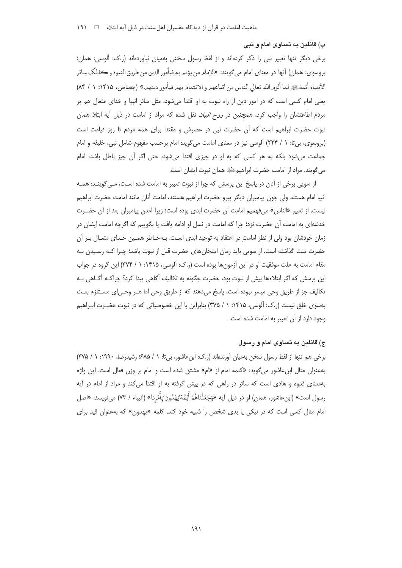ب) قائلین په تساوي امام و نیې

برخی دیگر تنها تعبیر نبی را ذکر کردهاند و از لفظ رسول سخنی بهمیان نیاوردهاند (ر.ک: ألوسی: همان؛ بروسوي: همان) أنها در معناي امام مي گويند: «الإمام من يؤتمر به فيأمور الدين من طريق النبوة و ڪذلک سائر الأنبياء أئمة ﷺ لما ألزم الله تعالى الناس من اتباعهم و الائتمام بهم فيأمور دينهم.» (جصاص، ١٣١۵: ١ / ٨۴) یعنی امام کسی است که در امور دین از راه نبوت به او اقتدا می شود، مثل سائر انبیا و خدای متعال هم بر مردم اطاعتشان را واجب کرد، همچنین در *روح البیان* نقل شده که مراد از امامت در ذیل آیه ابتلا همان نبوت حضرت ابراهیم است که آن حضرت نبی در عصرش و مقتدا برای همه مردم تا روز قیامت است (بروسوی، بیتا: ١ / ٢٢۴) آلوسی نیز در معنای امامت میگوید: امام برحسب مفهوم شامل نبی، خلیفه و امام جماعت می شود بلکه به هر کسی که به او در چیزی اقتدا می شود، حتی اگر آن چیز باطل باشد، امام مي گويند. مراد از امامت حضرت ابراهيمﷺ همان نبوت ايشان است.

از سویی برخی از آنان در پاسخ این پرسش که چرا از نبوت تعبیر به امامت شده است، مـی گوینـد: همـه انبيا امام هستند ولي چون پيامبران ديگر پيرو حضرت ابراهيم هستند، امامت آنان مانند امامت حضرت ابراهيم نيست. از تعبير «الناس» ميفهميم امامت آن حضرت ابدي بوده است؛ زيرا آمدن پيامبران بعد از آن حضـرت خدشهای به امامت آن حضرت نزد؛ چرا که امامت در نسل او ادامه یافت یا بگوییم که اگرچه امامت ایشان در زمان خودشان بود ولی از نظر امامت در اعتقاد به توحید ابدی است. بـهخـاطر همـین خـدای متعـال بـر آن حضرت منت گذاشته است. از سویی باید زمان امتحان های حضرت قبل از نبوت باشد؛ چـرا کـه رسـیدن بـه مقام امامت به علت موفقیت او در این آزمون ها بوده است (ر.ک: آلوسی، ۱۴۱۵: ۱ / ۳۷۴) این گروه در جواب این پرسش که اگر ابتلاءها پیش از نبوت بود، حضرت چگونه به تکالیف اَگاهی پیدا کرد؟ چراکـه اَگـاهی بـه تكاليف جز از طريق وحي ميسر نبوده است، پاسخ ميدهند كه از طريق وحي اما هـر وحـي|ى مسـتلزم بعـث بهسوی خلق نیست (ر.ک: آلوسی، ۱۴۱۵: ۱ / ۳۷۵) بنابراین با این خصوصیاتی که در نبوت حضـرت ابـراهیم وجود دارد از آن تعبیر به امامت شده است.

## ج) قائلین به تساوی امام و رسول

برخی هم تنها از لفظ رسول سخن بهمیان آورندهاند (ر.ک: ابن عاشور، بی تا: ١ / ۶۸۵؛ رشیدرضا، ۱۹۹۰: ١ / ۳۷۵) بهعنوان مثال ابن عاشور مي گويد: «كلمه امام از «ام» مشتق شده است و امام بر وزن فعال است. اين واژه بهمعنای قدوه و هادی است که سائر در راهی که در پیش گرفته به او اقتدا می کند و مراد از امام در آیه رسول است» (ابنءاشور، همان) او در ذيل آيه «وَجَعَلْناهُمْ أَئِمَّة يُهْدُون بَأْمْرِنا» (انبياء / ٧٣) مىنويسد: «اصل امام مثال کسی است که در نیکی یا بدی شخص را شبیه خود کند. کلمه «پهدون» که بهعنوان قید برای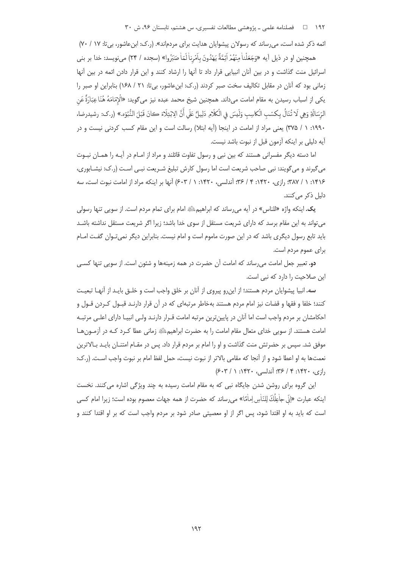۱۹۲ فصلنامه علمی ـ پژوهشی مطالعات تفسیری، س هشتم، تابستان ۹۶، ش ۳۰

ائمه ذکر شده است، می رساند که رسولان پیشوایان هدایت برای مردماند». (ر.ک: ابنعاشور، بی تا: ۱۷ / ۷۰)

همچنين او در ذيل أيه «وَجَعَلْناْ مِنْهُمْ أَئِمَّةً يَهْدُونَ بِأَمْرِناْ لَمّاْ صَبَرُوا» (سجده / ٢۴) مىنويسد: خدا بر بنى اسرائیل منت گذاشت و در بین آنان انبیایی قرار داد تا آنها را ارشاد کنند و این قرار دادن ائمه در بین آنها زمانی بود که آنان در مقابل تکالیف سخت صبر کردند (ر.ک: ابنءاشور، بی تا: ۲۱ / ۱۶۸) بنابراین او صبر را يكي از اسباب رسيدن به مقام امامت مي\داند. همچنين شيخ محمد عبده نيز مي گويد: «الْإِمَامَهُ هُنَا عِبَارَةٌ عَنِ الرِّسَالَةِ وَهِي لَا تُنَالُ بِكِسْبِ الْكاسِبِ وَلَيسَ فِي الْكَلَامِ دَلِيلٌ عَلَى أَنَّ الِابْتِلَاءَ كانَ قَبْلَ النُّبُوِّه.» (ر.ك: رشيدرضا، ١٩٩٠: ١ / ٣٧۵) يعني مراد از امامت در اينجا (آيه ابتلا) رسالت است و اين مقام كسب كردني نيست و در آيه دليلي بر اينكه آزمون قبل از نبوت باشد نيست.

اما دسته دیگر مفسرانی هستند که بین نبی و رسول تفاوت قائلند و مراد از امـام در آیـه را همـان نبـوت می گیرند و می گویند: نبی صاحب شریعت است اما رسول کارش تبلیغ شـریعت نبـی اسـت (٫.ک: نیشـابوری، ۱۴۱۶: ۱ / ۳۸۷؛ رازی، ۱۴۲۰: ۴ / ۳۶؛ آندلسی، ۱۴۲۰: ۱ / ۶۰۳) آنها بر اینکه مراد از امامت نبوت است، سه دلیل ذکر مے کنند.

یک. اینکه واژه «للناس» در آیه می رساند که ابراهیم؛ ﷺ امام برای تمام مردم است. از سویی تنها رسولی می تواند به این مقام برسد که دارای شریعت مستقل از سوی خدا باشد؛ زیرا اگر شریعت مستقل نداشته باشـد باید تابع رسول دیگری باشد که در این صورت ماموم است و امام نیست. بنابراین دیگر نمی *ت*وان گفت امـام برای عموم مردم است.

**دو.** تعبیر جعل امامت می رساند که امامت آن حضرت در همه زمینهها و شئون است. از سویی تنها کسـی این صلاحیت را دارد که نبی است.

سه. انبیا پیشوایان مردم هستند؛ از اینرو پیروی از آنان بر خلق واجب است و خلـق بایـد از آنهـا تبعیـت کنند؛ خلفا و فقها و قضات نیز امام مردم هستند بهخاطر مرتبهای که در آن قرار دارنـد قبـول کـردن قـول و احکامشان بر مردم واجب است اما اَنان در پایینترین مرتبه امامت قـرار دارنـد ولـی انبیـا دارای اعلـی مرتبـه امامت هستند. از سویی خدای متعال مقام امامت را به حضرت ابراهیمﷺ زمانی عطا کـرد کـه در آزمـون هـا موفق شد. سپس بر حضرتش منت گذاشت و او را امام بر مردم قرار داد. پس در مقـام امتنــان بایــد بــالاترین نعمتها به او اعطا شود و از آنجا که مقامی بالاتر از نبوت نیست، حمل لفظ امام بر نبوت واجب اسـت. (ر.ک: دازی، ۱۴۲۰: ۴ / ۳۶؛ آندلسی، ۱۴۲۰: ۱ / ۶۰۳)

این گروه برای روشن شدن جایگاه نبی که به مقام امامت رسیده به چند ویژگی اشاره می کنند. نخست اينكه عبارت «إنّي جاٰعِلُكَ لِلنّاٰسِ إماٰمًا» مي رساند كه حضرت از همه جهات معصوم بوده است؛ زيرا امام كسي است که باید به او اقتدا شود، پس اگر از او معصیتی صادر شود بر مردم واجب است که بر او اقتدا کنند و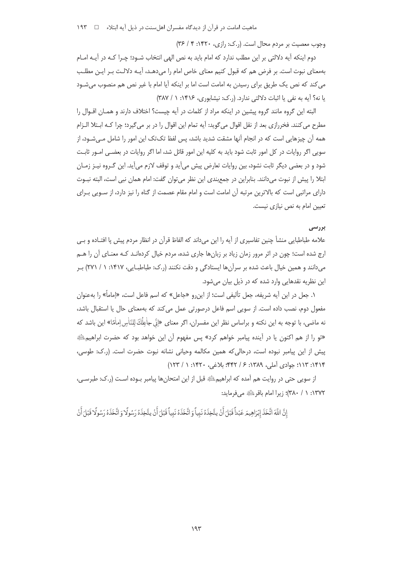ماهیت امامت در قرآن از دیدگاه مفسران اهل سنت در ذیل آیه ابتلاء = تا ۱۹۳

وجوب معصيت بر مردم محال است. (ر.ک: رازي، ١۴٢٠: ٣ / ٣۶)

دوم اینکه آیه دلالتی بر این مطلب ندارد که امام باید به نص الهی انتخاب شــود؛ چــرا کــه در آیــه امــام بهمعنای نبوت است. بر فرض هم که قبول کنیم معنای خاص امام را میدهـد، آیـه دلالـت بـر ایـن مطلـب می کند که نص یک طریق برای رسیدن به امامت است اما بر اینکه آیا امام با غیر نص هم منصوب میشـود یا نه؟ آیه به نفی یا اثبات دلالتی ندارد. (ر.ک: نیشابوری، ۱۴۱۶: ۱ / ۳۸۷)

البته این گروه مانند گروه پیشین در اینکه مراد از کلمات در آیه چیست؟ اختلاف دارند و همـان اقـوال را مطرح مي كنند. فخررازي بعد از نقل اقوال مي گويد: آيه تمام اين اقوال را در بر مي گيرد؛ چرا كـه ابـتلا الـزام همه آن چیزهایی است که در انجام آنها مشقت شدید باشد، پس لفظ تکتک این امور را شامل مـی شـود، از سویی اگر روایات در کل امور ثابت شود باید به کلیه این امور قائل شد، اما اگر روایات در بعضـی امــور ثابـت شود و در بعضی دیگر ثابت نشود، بین روایات تعارض پیش میآید و توقف لازم میآید. این گـروه نیـز زمـان ابتلا را پیش از نبوت میدانند. بنابراین در جمع بندی این نظر می توان گفت: امام همان نبی است، البته نبـوت دارای مراتبی است که بالاترین مرتبه آن امامت است و امام مقام عصمت از گناه را نیز دارد، از سـویی بـرای تعیین امام به نص نیازی نیست.

### بررسی

علامه طباطبایی منشأ چنین تفاسیری از آیه را این میداند که الفاظ قرآن در انظار مردم پیش پا افتـاده و بـی ارج شده است؛ چون در اثر مرور زمان زیاد بر زبانها جاری شده، مردم خیال کردهانـد کـه معنـای آن را هـم می دانند و همین خیال باعث شده بر سرآن ها ایستادگی و دقت نکنند (ر.ک: طباطبـایی، ۱۴۱۷: ۱ / ۲۷۱) بـر این نظریه نقدهایی وارد شده که در ذیل بیان می شود.

١. جعل در اين آيه شريفه، جعل تأليفي است؛ از اين,رو «جاعل» كه اسم فاعل است، «إماماً» را بهعنوان مفعول دوم، نصب داده است. از سویی اسم فاعل درصورتی عمل میکند که بهمعنای حال یا استقبال باشد، نه ماضی، با توجه به این نکته و براساس نظر این مفسران، اگر معنای «اِنّی جاٰعِلُكَ لِلنّاٰسِ اِماٰمًا» این باشد که «تو را از هم اکنون یا در آینده پیامبر خواهم کرد» پس مفهوم آن این خواهد بود که حضرت ابراهیم<u>ِ ا<sup>ی</sup> ب</u> ييش از اين ييامبر نبوده است، درحالي كه همين مكالمه وحياني نشانه نبوت حضرت است. (ر.ك: طوسى، ١٣١۴: ١١٣: جوادي آملي، ١٣٨٩: ۶ / ۴۴٢؛ بلاغي، ١۴٢٠: ١ / ١٢٣)

از سویی حتی در روایت هم آمده که ابراهیمﷺ قبل از این امتحانها پیامبر بـوده اسـت (ر.ک: طبرسـی، ١٣٧٢: ١ / ٣٨٠)؛ زيرا امام باقر ﷺ مىفرمايد:

إِنَّ اللَّهَ اتَّخَذَ إِبْرَاهِيمَ عَبْداً قَبْلَ أَنْ يتَّخِذَهُ نَبِيأَ وَ اتَّخَذَهُ نَبِيأً قَبْلَ أَنْ يتَّخِذَهُ رَسُولًا وَ اتَّخَذَهُ رَسُولًا قَبْلَ أَنْ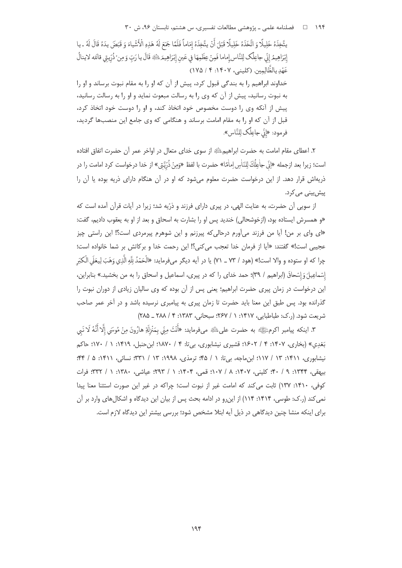۱۹۴ – □ فصلنامه علمی ـ یژوهشی مطالعات تفسیری، س هشتم، تابستان ۹۶، ش ۳۰

يتَّخِذَهُ خَلِيلًا وَ اتَّخَذَهُ خَلِيلًا قَبْلَ أَنْ يتَّخِذَهُ إِمَاماً فَلَمَّا جَمَعَ لَهُ هَذِهِ الْأَشْياءَ وَ قَبَضَ يدَهُ قَالَ لَهُ ـ يا إِبْرَاهِيمُ إِنِّي جاعِلُك لِلنَّاس إماما فَمِنْ عِظْمِهَا في عَين إِبْرَاهِيمَ الثَّةِ قَالَ يا رَبّ وَمِن ْ ذُرِّيتي قالَله لاينالُ عَهْدِ بِالظَّالِمِينِ. (كليني، ١۴٠٧: ۴ / ١٧۵) خداوند ابراهیم را به بندگی قبول کرد، پیش از آن که او را به مقام نبوت برساند و او را به نبوت رسانید، پیش از آن که وی را به رسالت مبعوث نماید و او را به رسالت رسانید، پیش از آنکه وی را دوست مخصوص خود اتخاذ کند، و او را دوست خود اتخاذ کرد، قبل از آن که او را به مقام امامت برساند و هنگامی که وی جامع این منصبها گردید، فرمود: «إِنِّي جِاعِلُكِ لِلنَّاسِ».

٢. اعطاى مقام امامت به حضرت ابراهيمﷺ از سوى خداى متعال در اواخر عمر أن حضرت اتفاق افتاده است؛ زيرا بعد ازجمله «إنّي جاْعِلُكَ لِلنّاٰسِ اِماٰمًا» حضرت با لفظ «وَمِنْ ذُرّيَّتِي» از خدا درخواست كرد امامت را در ذریهاش قرار دهد. از این درخواست حضرت معلوم میشود که او در آن هنگام دارای ذریه بوده یا آن را پیش بین*ی* می کرد.

از سویی آن حضرت، به عنایت الهی، در پیری دارای فرزند و ذرّیه شد؛ زیرا در آیات قرآن آمده است که «و همسرش ایستاده بود، (ازخوشحالی) خندید پس او را بشارت به اسحاق و بعد از او به یعقوب دادیم، گفت: «ای وای بر من! آیا من فرزند میآورم درحالی که پیرزنم و این شوهرم پیرمردی است؟! این راستی چیز عجيبي است!» گفتند: «آيا از فرمان خدا تعجب مي كني؟! اين رحمت خدا و بركاتش بر شما خانواده است؛ چرا که او ستوده و والا است!» (هود / ٧٣ \_ ٧١) يا در آيه ديگر مىفرمايد: «الْحَمْدُ لِلَّهِ الَّذِي وَهَبَ لِيعَلَى الْكبَر إسْماعِيلَ وَإِسْحاقَ (ابراهيم / ٣٩)؛ حمد خداي را كه در پيري، اسماعيل و اسحاق را به من بخشيد.» بنابراين، این درخواست در زمان پیری حضرت ابراهیم؛ یعنی پس از آن بوده که وی سالیان زیادی از دوران نبوت را گذرانده بود. پس طبق این معنا باید حضرت تا زمان پیری به پیامبری نرسیده باشد و در آخر عمر صاحب شريعت شود. (ر.ک: طباطبايي، ١٤١٧: ١ / ٢۶٧: سبحاني، ١٣٨٣: ۴ / ٢٨٨ \_ ٢٨۵)

٣. اينكه پيامبر اكرمﷺ به حضرت علىﷺ مىفرمايد: «أَنْتَ مِنِّي بِمَنْزِلَةِ هارُونَ مِنْ مُوسَى إِلَّا أَنَّهُ لَا نَبي بَغَدِي» (بخاري، ۱۴۰۷: ۴ / ۱۶۰۲؛ قشيري نيشابوري، بيتا: ۴ / ۱۸۷۰؛ ابن حنبل، ۱۴۱۹: ۱ / ۱۷۰؛ حاكم نیشابوری، ١٣١١: ١٣ / ١١٧؛ ابن ماجه، بیتا: ١ / ۴۵؛ ترمذی، ١٩٩٨: ١٣ / ٣٣١: نسائی، ١٣١١: ۵ / ۴۴؛ بيهقي، ١٣۴۴: ٩ / ۴٠: كليني، ١٤٠٧: ٨ / ١٠٧: قمي، ١٠٤: ١ / ٢٩٣: عياشي، ١٣٨٠: ١ / ٣٣٢: فرات كوفى، ١٣١٠: ١٣٧) ثابت مى كند كه امامت غير از نبوت است؛ چراكه در غير اين صورت استثنا معنا پيدا نمی کند (ر.ک: طوسی، ۱۴۱۴: ۱۱۴) از این رو در ادامه بحث پس از بیان این دیدگاه و اشکال های وارد بر آن برای اینکه منشا چنین دیدگاهی در ذیل آیه ابتلا مشخص شود؛ بررسی بیشتر این دیدگاه لازم است.

 $198$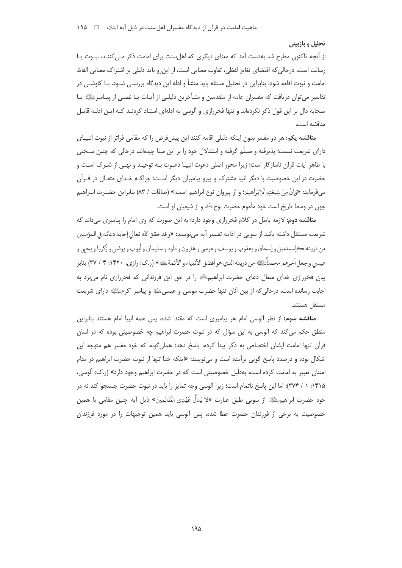#### تحلیل و بازبینی

از آنچه تاکنون مطرح شد بهدست آمد که معنای دیگری که اهل سنت برای امامت ذکر مے کننـد، نبـوت پـا رسالت است، درحالی که اقتضای تغایر لفظی، تفاوت معنایی است، از این٫رو باید دلیلی بر اشتراک معنایی الفاظ امامت و نبوت اقامه شود، بنابراین در تحلیل مسئله باید منشأ و ادله این دیدگاه بررسـی شـود. بـا کاوشـی در تفاسیر می توان دریافت که مفسران عامه از متقدمین و متـأخرین دلیلـی از آیـات یـا نصـی از پیـامبرﷺ یـا صحابه دال بر این قول ذکر نکردهاند و تنها فخررازی و آلوسی به ادلهای استناد کردنـد کـه ایـن ادلـه قابـل مناقشه است.

**مناقشه یکم:** هر دو مفسر بدون اینکه دلیلی اقامه کنند این پیشفرض را که مقامی فراتر از نبوت انبیـای دارای شریعت نیست؛ پذیرفته و مسلّم گرفته و استدلال خود را بر این مبنا چیدهاند، درحالی که چنین سـخنی با ظاهر آیات قرآن ناسازگار است؛ زیرا محور اصلی دعوت انبیـا دعـوت بـه توحیـد و نهـی از شـرک اسـت و حضرت در این خصوصیت با دیگر انبیا مشترک و پیرو پیامبران دیگر اسـت؛ چراکـه خـدای متعـال در قـراَن مي فرمايد: «وَانَّ مِنْ شِيعَتِهِ لَإِبْرَاٰهِيمَرْ؛ و از پيروان نوح ابراهيم است.» (صافات / ٨٣) بنابراين حضـرت ابـراهيم چون در وسط تاريخ است خود مأموم حضرت نوحﷺ و از شيعيان او است.

مناقشه دوم: لازمه باطل در کلام فخررازی وجود دارد؛ به این صورت که وی امام را پیامبری می داند که شريعت مستقل داشته باشد از سويي در ادامه تفسير آيه ميiويسد: «و قد حقق الله تعالى إجابة دعائه في المؤمنين من ذريته ڪاسماعيل و اِسحاق و يعقوب و يوسف و موسى و هارون و داود و سليمان و اُيوب و يونس و زکريا و يحبي و عيسى وجعل آخرهمر محمداً ﷺ من ذريته الذي هو أفضل الأنبياء و الأئمة ﷺ » (ر.ك: رازي، ١۴٢٠: ٣ / ٣٧) بنابر بیان فخررازی خدای متعال دعای حضرت ابراهیم علیه را در حق این فرزندانی که فخررازی نام می برد به اجابت ,سانده است، درحالی که از بین آنان تنها حضرت موسی و عیسیﷺ و پیامبر اکرمﷺ دارای شریعت مستقل هستند.

مناقشه سوم: از نظر آلوسی امام هر پیامبری است که مقتدا شده، پس همه انبیا امام هستند بنابراین منطق حکم می کند که آلوسی به این سؤال که در نبوت حضرت ابراهیم چه خصوصیتی بوده که در لسان قرآن تنها امامت ایشان اختصاص به ذکر پیدا کرده، پاسخ دهد؛ همان گونه که خود مفسر هم متوجه این اشكال بوده و درصدد پاسخ گويي برآمده است و ميiويسد: «اينكه خدا تنها از نبوت حضرت ابراهيم در مقام امتنان تعبیر به امامت کرده است، بهدلیل خصوصیتی است که در حضرت ابراهیم وجود دارد» (ر.ک: آلوسی، ۱۴۱۵: ۱ / ۳۷۴)؛ اما این پاسخ ناتمام است؛ زیرا آلوسی وجه تمایز را باید در نبوت حضرت جستجو کند نه در خود حضرت ابراهيمﷺ. از سويي طبق عبارت «لاٰ يَنالُ عَهْدِي الظَّالِمِينَ» ذيل آيه چنين مقامي با همين خصوصیت به برخی از فرزندان حضرت عطا شده، پس آلوسی باید همین توجیهات را در مورد فرزندان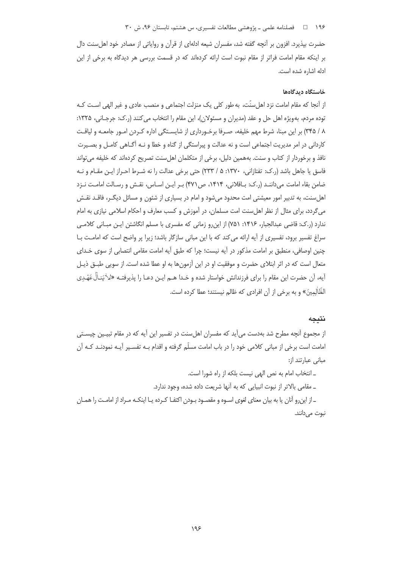## ۱۹۶ = ه ضلنامه علمی ـ پژوهشی مطالعات تفسیری، س هشتم، تابستان ۹۶، ش ۳۰

حضرت بپذیرد. افزون بر آنچه گفته شد، مفسران شیعه ادلهای از قرآن و روایاتی از مصادر خود اهل سنت دال بر اینکه مقام امامت فراتر از مقام نبوت است ارائه کردهاند که در قسمت بررسی هر دیدگاه به برخی از این ادله اشاره شده است.

#### خاستگاه دیدگاهها

از آنجا که مقام امامت نزد اهلِ سنّت، به طور کلی یک منزلت اجتماعی و منصب عادی و غیر الهی اسـت کـه توده مردم، بهويژه اهل حل و عقد (مديران و مسئولان)، اين مقام را انتخاب مي كنند (ر.ک: جرجـاني، ۱۳۲۵: ۸ / ۳۴۵) بر این مبنا، شرط مهم خلیفه، صـرفا برخـورداری از شایسـتگی اداره کـردن امـور جامعـه و لیاقـت کاردانی در امر مدیریت اجتماعی است و نه عدالت و پیراستگی از گناه و خطا و نـه آگــاهی کامــل و بصــیرت نافذ و برخوردار از کتاب و سنت. بههمین دلیل، برخی از متکلمان اهلسنت تصریح کردهاند که خلیفه می تواند فاسق یا جاهل باشد (ر.ک: تفتازانی، ۱۳۷۰: ۵ / ۲۳۳) حتی برخی عدالت را نه شـرط احـراز ایـن مقـام و نـه ضامن بقاء امامت می داننـد (ر.ک: بـاقلانی، ۱۴۱۴، ص ۴۷۱) بـر ایـن اسـاس، نقـش و رسـالت امامـت نـزد اهل سنت، به تدبیر امور معیشتی امت محدود می شود و امام در بسیاری از شئون و مسائل دیگـر، فاقـد نقـش می گردد، برای مثال از نظر اهل سنت امت مسلمان، در آموزش و کسب معارف و احکام اسلامی نیازی به امام ندارد (ر.ک: قاضی عبدالجبار، ۱۴۱۶: ۷۵۱) از این رو زمانی که مفسری با مسلم انگاشتن ایـن مبـانی کلامـی سراغ تفسیر برود، تفسیری از آیه ارائه می کند که با این مبانی سازگار باشد؛ زیرا پر واضح است که امامت بـا چنین اوصافی، منطبق بر امامت مذکور در آیه نیست؛ چرا که طبق آیه امامت مقامی انتصابی از سوی خـدای متعال است که در اثر ابتلای حضرت و موفقیت او در این آزمون ها به او عطا شده است. از سویی طبــق ذیــل آيه، آن حضرت اين مقام را براي فرزندانش خواستار شده و خـدا هــم ايــن دعــا را پذيرفتــه «لاٰ يَنــاٰلُ عَهْـدِي الظَّالِمِينَ» و به برخي از آن افرادي كه ظالم نيستند؛ عطا كرده است.

## نتيجه

از مجموع آنچه مطرح شد بهدست میآید که مفسران اهل سنت در تفسیر این آیه که در مقام تبیـین چیسـتی امامت است برخی از مبانی کلامی خود را در باب امامت مسلّم گرفته و اقدام بـه تفسـیر آیـه نمودنـد کـه آن مبانی عبارتند از:

> ـ انتخاب امام به نص الهى نيست بلكه از راه شورا است. ـ مقامی بالاتر از نبوت انبیایی که به آنها شریعت داده شده، وجود ندارد.

ــ از این٫و آنان یا به بیان معنای لغوی اســوه و مقصــود بــودن اکتفــا کــرده یــا اینکــه مــراد از امامــت را همــان نبوت مے دانند.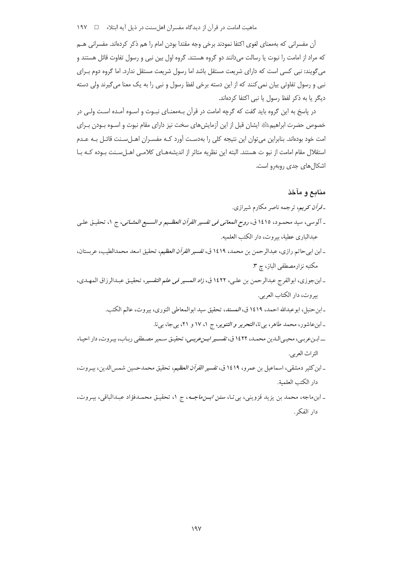ماهیت امامت در قرآن از دیدگاه مفسران اهلسنت در ذیل آیه ابتلاء در ۱۹۷

آن مفسرانی که بهمعنای لغوی اکتفا نمودند برخی وجه مقتدا بودن امام را هم ذکر کردهاند. مفسرانی هـم که مراد از امامت را نبوت یا رسالت می دانند دو گروه هستند. گروه اول بین نبی و رسول تفاوت قائل هستند و میگویند: نبی کسی است که دارای شریعت مستقل باشد اما رسول شریعت مستقل ندارد. اما گروه دوم بـرای نبی و رسول تفاوتی بیان نمی کنند که از این دسته برخی لفظ رسول و نبی را به یک معنا میگیرند ولی دسته دیگر یا به ذکر لفظ رسول یا نبی اکتفا کردهاند.

در پاسخ به این گروه باید گفت که گرچه امامت در قرآن بـهمعنـای نبـوت و اسـوه آمـده اسـت ولـی در خصوص حضرت ابراهیمﷺ ایشان قبل از این آزمایشهای سخت نیز دارای مقام نبوت و اسـوه بـودن بـرای امت خود بودهاند. بنابراین می¤وان این نتیجه کلی را بهدست آورد کـه مفسـران اهـلسـنت قائـل بـه عـدم استقلال مقام امامت از نبو ت هستند. البته این نظریه متاثر از اندیشههـای کلامـی اهـل سـنت بـوده کـه بـا اشكال هاى جدى روبەرو است.

## منابع و مآخذ

- ـ*ـ قرآن کریم*، ترجمه ناصر مکارم شیرازی. ـ آلوسي، سيد محمـود، ١٤١٥ ق، *روح المعاني في تفسير القرآن العظـيم و السـبع المثــاني*، ج ١، تحقيـق علـي عبدالباري عطية، بيروت، دار الكتب العلميه. \_ابن ابيحاتم رازي، عبدالرحمن بن محمد، ١٤١٩ ق، *تفسير القرآن العظيم*، تحقيق اسعد محمدالطيب، عربستان، مکتبه نزارمصطفی الباز، چ ۳. \_ ابنجوزي، ابوالفرج عبدالرحمن بن علي، ١٤٢٢ ق، *زاد المسير في علم التفسير*، تحقيق عبدالرزاق المهـدي، بيروت، دار الكتاب العربي. ـ ابن حنبل، ابوعبدالله احمد، ١٤١٩ ق، المسند، تحقيق سيد ابوالمعاطي النوري، بيروت، عالم الكتب. ـ ابنعاشور، محمد طاهر، بي تا، *التحرير و التنوير*، ج ١، ١٧ و ٢١، بيجا، بيi. \_ ابـنءربـي، محيـي|لـدين محمـد، ١٤٢٢ ق، *تفسـير ابـنءربـي*، تحقيـق سـمير مصـطفي ربـاب، بيـروت، دار احيـاء التراث العربي. \_ابن كثير دمشقي، اسماعيل بن عمرو، ١٤١٩ ق، *تفسير القرآن العظيم*، تحقيق محمدحسين شمس|لدين، بيـروت، دار الكتب العلمية.
- ـ ابن.ماجه، محمد بن يزيد قزويني، بي تـا، *سنن ابــن.ماجــه*، ج ١، تحقيـق محمـدفؤاد عبـدالباقي، بيـروت، دار الفكر .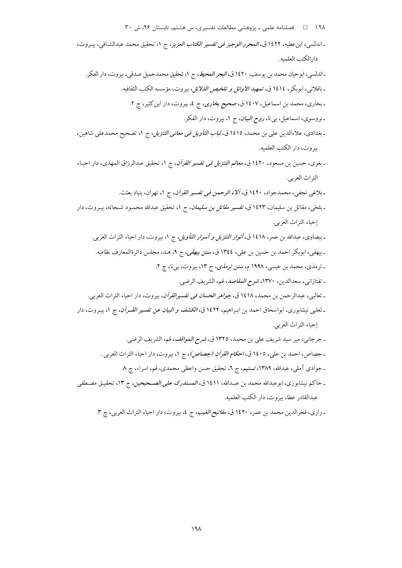۱۹۸ فصلنامه علمی ـ پژوهشی مطالعات تفسیری، س هشتم، تابستان ۹۶، ش ۳۰ ـ اندلسي، ابن عطيه، ١٤٢٢ ق، *المحرر الوجيز في تفسير الكتاب العزيز*، ج ١، تحقيق محمد عبدالشافي، بيـروت، دار الكتب العلميه. ـ اندلسي، ابوحيان محمد بن يوسف، ١٤٢٠ ق، *البحر المحيط*، ج ١، تحقيق محمدجميل صدقي، بيروت، دار الفكر. ـ باقلاني، ابوبكر، ١٤١٤ ق، تم*هيد الاوائل و تلخيص الدلائل*، بيروت، مؤسسه الكتب الثقافيه. ـ بخاري، محمد بن اسماعيل، ١٤٠٧ ق، صحيح بخ*اري، ج ٤، بي*روت، دار ابن كثير، چ ٢. ـ بروسوي، اسماعيل، بي تا، *روح البيان*، ج ١، بيروت، دار الفكر. ـ بغدادي، علاءالدين على بن محمد، ١٤١٥ ق، *لباب التأويل في معاني التنزيل*، ج ١، تصحيح محمدعلي شاهين، بيروت، دار الكتب العلميه. ـ بغوى، حسين بن مسعود، ١٤٢٠ ق، *معالم التنزيل في تفسير القرآن*، ج ١، تحقيق عبدالرزاق المهدى، دار احيـاء التراث العربي. ـ بلاغي نجفي، محمدجواد، ١٤٢٠ ق، *آلاء الرحمن في تفسير القرآن*، ج ١، تهران، بنياد بعثت. ـ بلخي، مقاتل بن سليمان، ١٤٢٣ ق، *تفسير مقاتل بن سليمان*، ج ١، تحقيق عبدالله محمـود شـحاته، بيـروت، دار إحياء التراث العربي. ـ بيضاوي، عبدالله بن عمر، ١٤١٨ ق، *أنوار التنزيل و أسرار التأويل*، ج ١، بيروت، دار احياء التراث العربي. ـ بیهقی، ابوبکر احمد بن حسین بن علی، ١٣٤٤ ق، *سنن بیهقی*، ج ٩، هند، مجلس دائرةالمعارف نظامیه. ـ ترمذی، محمد بن عیسی، ۱۹۹۸ م، *سنن ترمذی*، ج ۱۳، بیروت، بیiا، چ ۲. ـ تفتازاني، سعدالدين، ١٣٧٠، شرح *المقاصد*، قم، الشريف الرضي. ـ ثعالبي، عبدالرحمن بن محمد، ١٤١٨ ق، *جواهر الحسان في تفسيرالقرآن*، بيروت، دار احياء التراث العربي. ـ ثعلبی نیشابوری، ابواسحاق احمد بن ابـراهیم، ۱٤۲۲ ق، *الکشف و البیان عن تفسیر القــرآن*، ج ۱، بیـروت، دار إحياء التراث العربي. ـ جرجاني، مير سيد شريف على بن محمد، ١٣٢٥ ق، *شرح المواقف*، قم، الشريف الرضي. ـ جصاص، احمد بن علي، ١٤٠٥ ق، *احكام القرآن (جصاص)*، ج ١، بيروت، دار احياء التراث العربي . ـ جوادي آملي، عبدالله، ١٣٨٩، تسنيم، ج ٦، تحقيق حسن واعظى محمدي، قم، اسراء، چ ٨ ـ حاكم نيشابوري، ابوعبدالله محمد بن عبـدالله، ١٤١١ ق، *المستدرك على الصـحيحين*، ج ١٣، تحقيـق مصـطفى عبدالقادر عطا، بيروت، دار الكتب العلميه. ـ رازي، فخرالدين محمد بن عمر، ١٤٢٠ ق، *مفاتيح الغيب*، ج ٤، بيروت، دار احياء التراث العربي، چ ٣.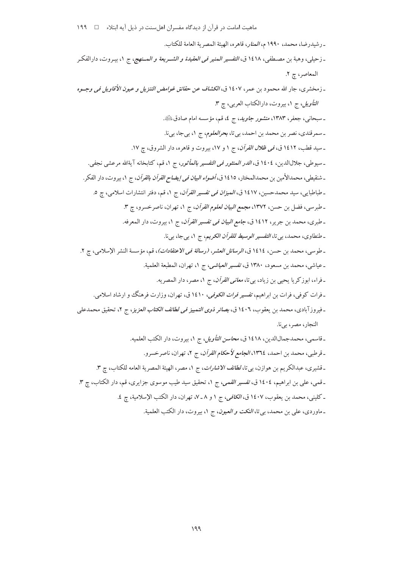ـ رشيدرضا، محمد، ١٩٩٠ م، *المنار*، قاهره، الهيئة المصرية العامة للكتاب. ـ زحيلي، وهبة بن مصـطفي، ١٤١٨ ق، *التفسير المنير في العقيدة و الشــريعة و المــنهج*، ج ١، بيـروت، دارالفكـر المعاصر، چ ٢. ـ زمخشري، جار الله محمود بن عمر، ١٤٠٧ ق، *الكشاف عن حقائق غوامض التنزيل و عيون الأقاويل في وجــوه* ا*لتأويل، ج ١*، بيروت، دارالكتاب العربي، چ ٣. ـ سبحانبي، جعفر، ١٣٨٣، *منشور جاويد*، ج ٤، قم، مؤسسه امام صادقﷺ. ـ سمرقندي، نصر بن محمد بن احمد، بي تا، ب*حرالعلوم*، ج ١، بيجا، بيi. ـ سید قطب، ۱٤۱۲ ق، *فی ظلال القرآن*، ج ۱ و ۱۷، بیروت و قاهره، دار الشروق، چ ۱۷. ـ سيوطى، جلالالدين، ١٤٠٤ ق، *الدر المنثور في التفسير بالمأثور*، ج ١، قم، كتابخانه آيةالله مرعشى نجفى. ـ شنقيطي، محمدالأمين بن محمدالمحختار، ١٤١٥ ق، *أضواء البيان في إيضاح القرآن بالقرآن*، ج ١، بيروت، دار الفكر. ـ طباطبايي، سيد محمدحسين، ١٤١٧ ق، *الميزان في تفسير القرآن*، ج ١، قم، دفتر انتشارات اسلامي، چ ٥. ـ طبرسي، فضل بن حسن، ١٣٧٢، *مجمع البيان لعلوم القرآن*، ج ١، تهران، ناصرخسرو، چ ٣. ـ طبري، محمد بن جرير، ١٤١٢ ق، *جامع البيان في تفسير القرآن*، ج ١، بيروت، دار المعرفه. ـ طنطاوي، محمد، بي تا، *التفسير الوسيط للقرآن الكريم*، ج ١، بيجا، بيi. ـ طوسى، محمد بن حسن، ١٤١٤ ق، *الرسائل العشر، (رسالة في الاعتقادات*)، قم، مؤسسة النشر الإسلامى، چ ٢. ـ عياشي، محمد بن مسعود، ١٣٨٠ ق، *تفسير العياشي*، ج ١، تهران، المطبعة العلمية. ـ فراء، ابوزكريا يحيى بن زياد، بيتا، *معاني القرآن*، ج ١، مصر، دار المصريه. ـ فرات كوفي، فرات بن ابراهيم، *تفسير فرات الكوفي،* ١٤١٠ ق، تهران، وزارت فرهنگ و ارشاد اسلامي. ـ فيروز آبادي، محمد بن يعقوب، ١٤٠٦ ق، *بصائر ذوي التمييز في لطائف الكتاب العزيز*، ج ٢، تحقيق محمدعلي النجار، مصر، بي نا. ـ قاسمي، محمدجمالالدين، ١٤١٨ ق، *محاسن التأويل*، ج ١، بيروت، دار الكتب العلميه. ـ قرطبي، محمد بن احمد، ١٣٦٤، *الجامع لأحكام القرآن*، ج ٢، تهران، ناصرخسرو. ـ قشيري، عبدالكريم بن هوازن، بي تا، *لطائف الاشارات*، ج ١، مصر، الهيئة المصرية العامه للكتاب، چ ٣. ۔قمبی، علمی بن ابراہیم، ١٤٠٤ ق، *تفسیر القمبی، ج ١، تحقیق سید طیب موسوی جزایری، قم*، دار الکتاب، چ ٣.

ـ كليني، محمد بن يعقوب، ١٤٠٧ ق، *الكافي، ج* ١ و ٨ ـ ٧، تهران، دار الكتب الإسلامية، چ ٤. ـ ماوردي، علي بن محمد، بي تا، *النكت و العيون*، ج ١، بيروت، دار الكتب العلمية.